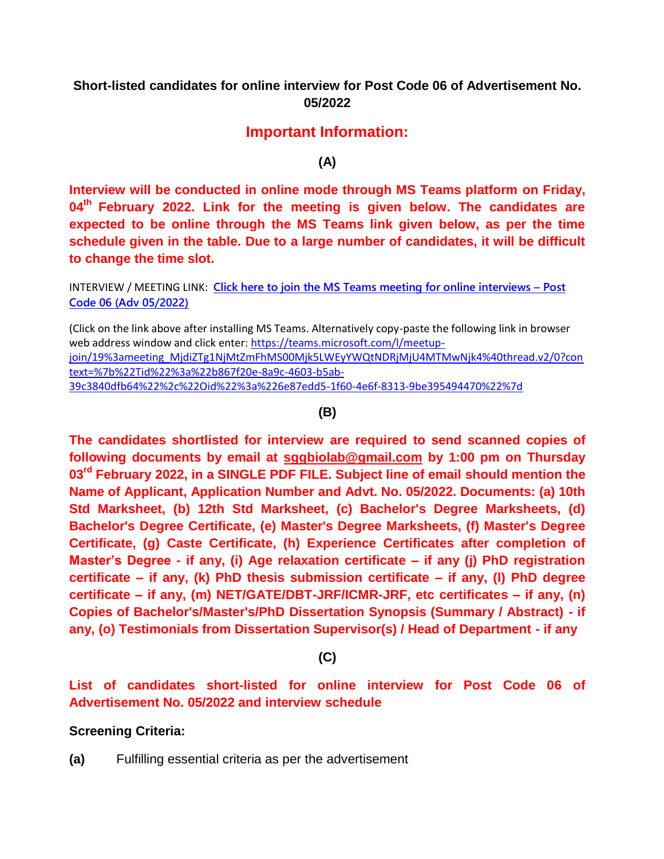## **Short-listed candidates for online interview for Post Code 06 of Advertisement No. 05/2022**

## **Important Information:**

**(A)**

**Interview will be conducted in online mode through MS Teams platform on Friday, 04th February 2022. Link for the meeting is given below. The candidates are expected to be online through the MS Teams link given below, as per the time schedule given in the table. Due to a large number of candidates, it will be difficult to change the time slot.**

INTERVIEW / MEETING LINK: **[Click here to join the MS Teams meeting for online interviews](https://teams.microsoft.com/l/meetup-join/19%3ameeting_MjdiZTg1NjMtZmFhMS00Mjk5LWEyYWQtNDRjMjU4MTMwNjk4%40thread.v2/0?context=%7b%22Tid%22%3a%22b867f20e-8a9c-4603-b5ab-39c3840dfb64%22%2c%22Oid%22%3a%226e87edd5-1f60-4e6f-8313-9be395494470%22%7d) – Post Code 06 [\(Adv 05/2022\)](https://teams.microsoft.com/l/meetup-join/19%3ameeting_MjdiZTg1NjMtZmFhMS00Mjk5LWEyYWQtNDRjMjU4MTMwNjk4%40thread.v2/0?context=%7b%22Tid%22%3a%22b867f20e-8a9c-4603-b5ab-39c3840dfb64%22%2c%22Oid%22%3a%226e87edd5-1f60-4e6f-8313-9be395494470%22%7d)**

(Click on the link above after installing MS Teams. Alternatively copy-paste the following link in browser web address window and click enter: [https://teams.microsoft.com/l/meetup](https://teams.microsoft.com/l/meetup-join/19%3ameeting_MjdiZTg1NjMtZmFhMS00Mjk5LWEyYWQtNDRjMjU4MTMwNjk4%40thread.v2/0?context=%7b%22Tid%22%3a%22b867f20e-8a9c-4603-b5ab-39c3840dfb64%22%2c%22Oid%22%3a%226e87edd5-1f60-4e6f-8313-9be395494470%22%7d)[join/19%3ameeting\\_MjdiZTg1NjMtZmFhMS00Mjk5LWEyYWQtNDRjMjU4MTMwNjk4%40thread.v2/0?con](https://teams.microsoft.com/l/meetup-join/19%3ameeting_MjdiZTg1NjMtZmFhMS00Mjk5LWEyYWQtNDRjMjU4MTMwNjk4%40thread.v2/0?context=%7b%22Tid%22%3a%22b867f20e-8a9c-4603-b5ab-39c3840dfb64%22%2c%22Oid%22%3a%226e87edd5-1f60-4e6f-8313-9be395494470%22%7d) [text=%7b%22Tid%22%3a%22b867f20e-8a9c-4603-b5ab-](https://teams.microsoft.com/l/meetup-join/19%3ameeting_MjdiZTg1NjMtZmFhMS00Mjk5LWEyYWQtNDRjMjU4MTMwNjk4%40thread.v2/0?context=%7b%22Tid%22%3a%22b867f20e-8a9c-4603-b5ab-39c3840dfb64%22%2c%22Oid%22%3a%226e87edd5-1f60-4e6f-8313-9be395494470%22%7d)[39c3840dfb64%22%2c%22Oid%22%3a%226e87edd5-1f60-4e6f-8313-9be395494470%22%7d](https://teams.microsoft.com/l/meetup-join/19%3ameeting_MjdiZTg1NjMtZmFhMS00Mjk5LWEyYWQtNDRjMjU4MTMwNjk4%40thread.v2/0?context=%7b%22Tid%22%3a%22b867f20e-8a9c-4603-b5ab-39c3840dfb64%22%2c%22Oid%22%3a%226e87edd5-1f60-4e6f-8313-9be395494470%22%7d)

**(B)**

**The candidates shortlisted for interview are required to send scanned copies of following documents by email at [sggbiolab@gmail.com](mailto:sggbiolab@gmail.com) by 1:00 pm on Thursday 03 rd February 2022, in a SINGLE PDF FILE. Subject line of email should mention the Name of Applicant, Application Number and Advt. No. 05/2022. Documents: (a) 10th Std Marksheet, (b) 12th Std Marksheet, (c) Bachelor's Degree Marksheets, (d) Bachelor's Degree Certificate, (e) Master's Degree Marksheets, (f) Master's Degree Certificate, (g) Caste Certificate, (h) Experience Certificates after completion of Master's Degree - if any, (i) Age relaxation certificate – if any (j) PhD registration certificate – if any, (k) PhD thesis submission certificate – if any, (l) PhD degree certificate – if any, (m) NET/GATE/DBT-JRF/ICMR-JRF, etc certificates – if any, (n) Copies of Bachelor's/Master's/PhD Dissertation Synopsis (Summary / Abstract) - if any, (o) Testimonials from Dissertation Supervisor(s) / Head of Department - if any**

**(C)**

**List of candidates short-listed for online interview for Post Code 06 of Advertisement No. 05/2022 and interview schedule**

## **Screening Criteria:**

**(a)** Fulfilling essential criteria as per the advertisement